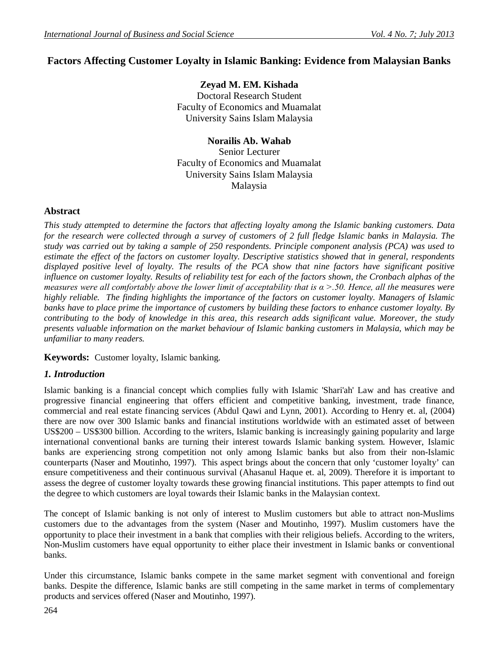# **Factors Affecting Customer Loyalty in Islamic Banking: Evidence from Malaysian Banks**

**Zeyad M. EM. Kishada** Doctoral Research Student Faculty of Economics and Muamalat University Sains Islam Malaysia

**Norailis Ab. Wahab**

Senior Lecturer Faculty of Economics and Muamalat University Sains Islam Malaysia Malaysia

### **Abstract**

*This study attempted to determine the factors that affecting loyalty among the Islamic banking customers. Data*  for the research were collected through a survey of customers of 2 full fledge Islamic banks in Malaysia. The *study was carried out by taking a sample of 250 respondents. Principle component analysis (PCA) was used to estimate the effect of the factors on customer loyalty. Descriptive statistics showed that in general, respondents displayed positive level of loyalty. The results of the PCA show that nine factors have significant positive influence on customer loyalty. Results of reliability test for each of the factors shown, the Cronbach alphas of the measures were all comfortably above the lower limit of acceptability that is*  $\alpha$  *>.50. Hence, all the measures were highly reliable. The finding highlights the importance of the factors on customer loyalty. Managers of Islamic banks have to place prime the importance of customers by building these factors to enhance customer loyalty. By contributing to the body of knowledge in this area, this research adds significant value. Moreover, the study presents valuable information on the market behaviour of Islamic banking customers in Malaysia, which may be unfamiliar to many readers.*

**Keywords:** Customer loyalty, Islamic banking.

### *1. Introduction*

Islamic banking is a financial concept which complies fully with Islamic 'Shari'ah' Law and has creative and progressive financial engineering that offers efficient and competitive banking, investment, trade finance, commercial and real estate financing services (Abdul Qawi and Lynn, 2001). According to Henry et. al, (2004) there are now over 300 Islamic banks and financial institutions worldwide with an estimated asset of between US\$200 – US\$300 billion. According to the writers, Islamic banking is increasingly gaining popularity and large international conventional banks are turning their interest towards Islamic banking system. However, Islamic banks are experiencing strong competition not only among Islamic banks but also from their non-Islamic counterparts (Naser and Moutinho, 1997). This aspect brings about the concern that only 'customer loyalty' can ensure competitiveness and their continuous survival (Ahasanul Haque et. al, 2009). Therefore it is important to assess the degree of customer loyalty towards these growing financial institutions. This paper attempts to find out the degree to which customers are loyal towards their Islamic banks in the Malaysian context.

The concept of Islamic banking is not only of interest to Muslim customers but able to attract non-Muslims customers due to the advantages from the system (Naser and Moutinho, 1997). Muslim customers have the opportunity to place their investment in a bank that complies with their religious beliefs. According to the writers, Non-Muslim customers have equal opportunity to either place their investment in Islamic banks or conventional banks.

Under this circumstance, Islamic banks compete in the same market segment with conventional and foreign banks. Despite the difference, Islamic banks are still competing in the same market in terms of complementary products and services offered (Naser and Moutinho, 1997).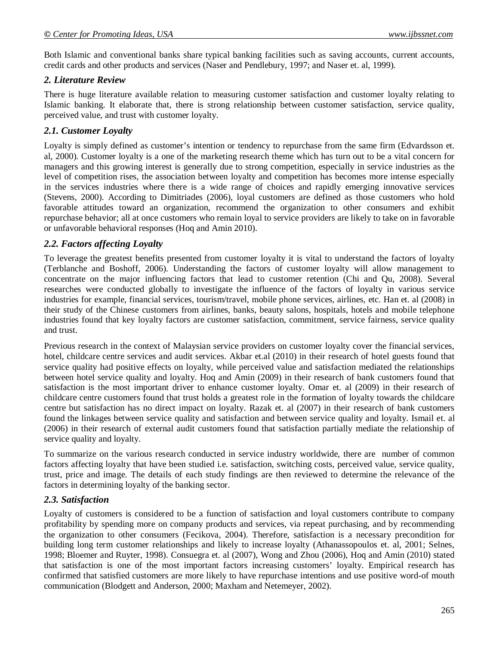Both Islamic and conventional banks share typical banking facilities such as saving accounts, current accounts, credit cards and other products and services (Naser and Pendlebury, 1997; and Naser et. al, 1999).

## *2. Literature Review*

There is huge literature available relation to measuring customer satisfaction and customer loyalty relating to Islamic banking. It elaborate that, there is strong relationship between customer satisfaction, service quality, perceived value, and trust with customer loyalty.

## *2.1. Customer Loyalty*

Loyalty is simply defined as customer's intention or tendency to repurchase from the same firm (Edvardsson et. al, 2000). Customer loyalty is a one of the marketing research theme which has turn out to be a vital concern for managers and this growing interest is generally due to strong competition, especially in service industries as the level of competition rises, the association between loyalty and competition has becomes more intense especially in the services industries where there is a wide range of choices and rapidly emerging innovative services (Stevens, 2000). According to Dimitriades (2006), loyal customers are defined as those customers who hold favorable attitudes toward an organization, recommend the organization to other consumers and exhibit repurchase behavior; all at once customers who remain loyal to service providers are likely to take on in favorable or unfavorable behavioral responses (Hoq and Amin 2010).

### *2.2. Factors affecting Loyalty*

To leverage the greatest benefits presented from customer loyalty it is vital to understand the factors of loyalty (Terblanche and Boshoff, 2006). Understanding the factors of customer loyalty will allow management to concentrate on the major influencing factors that lead to customer retention (Chi and Qu, 2008). Several researches were conducted globally to investigate the influence of the factors of loyalty in various service industries for example, financial services, tourism/travel, mobile phone services, airlines, etc. Han et. al (2008) in their study of the Chinese customers from airlines, banks, beauty salons, hospitals, hotels and mobile telephone industries found that key loyalty factors are customer satisfaction, commitment, service fairness, service quality and trust.

Previous research in the context of Malaysian service providers on customer loyalty cover the financial services, hotel, childcare centre services and audit services. Akbar et.al (2010) in their research of hotel guests found that service quality had positive effects on loyalty, while perceived value and satisfaction mediated the relationships between hotel service quality and loyalty. Hoq and Amin (2009) in their research of bank customers found that satisfaction is the most important driver to enhance customer loyalty. Omar et. al (2009) in their research of childcare centre customers found that trust holds a greatest role in the formation of loyalty towards the childcare centre but satisfaction has no direct impact on loyalty. Razak et. al (2007) in their research of bank customers found the linkages between service quality and satisfaction and between service quality and loyalty. Ismail et. al (2006) in their research of external audit customers found that satisfaction partially mediate the relationship of service quality and loyalty.

To summarize on the various research conducted in service industry worldwide, there are number of common factors affecting loyalty that have been studied i.e. satisfaction, switching costs, perceived value, service quality, trust, price and image. The details of each study findings are then reviewed to determine the relevance of the factors in determining loyalty of the banking sector.

### *2.3. Satisfaction*

Loyalty of customers is considered to be a function of satisfaction and loyal customers contribute to company profitability by spending more on company products and services, via repeat purchasing, and by recommending the organization to other consumers (Fecikova, 2004). Therefore, satisfaction is a necessary precondition for building long term customer relationships and likely to increase loyalty (Athanassopoulos et. al, 2001; Selnes, 1998; Bloemer and Ruyter, 1998). Consuegra et. al (2007), Wong and Zhou (2006), Hoq and Amin (2010) stated that satisfaction is one of the most important factors increasing customers' loyalty. Empirical research has confirmed that satisfied customers are more likely to have repurchase intentions and use positive word-of mouth communication (Blodgett and Anderson, 2000; Maxham and Netemeyer, 2002).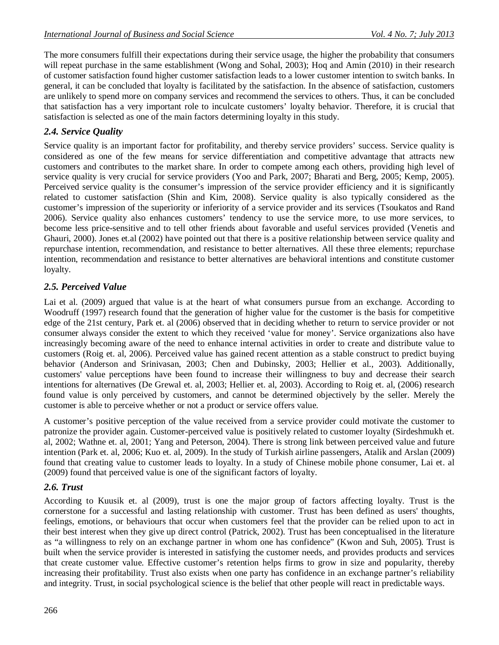The more consumers fulfill their expectations during their service usage, the higher the probability that consumers will repeat purchase in the same establishment (Wong and Sohal, 2003); Hoq and Amin (2010) in their research of customer satisfaction found higher customer satisfaction leads to a lower customer intention to switch banks. In general, it can be concluded that loyalty is facilitated by the satisfaction. In the absence of satisfaction, customers are unlikely to spend more on company services and recommend the services to others. Thus, it can be concluded that satisfaction has a very important role to inculcate customers' loyalty behavior. Therefore, it is crucial that satisfaction is selected as one of the main factors determining loyalty in this study.

# *2.4. Service Quality*

Service quality is an important factor for profitability, and thereby service providers' success. Service quality is considered as one of the few means for service differentiation and competitive advantage that attracts new customers and contributes to the market share. In order to compete among each others, providing high level of service quality is very crucial for service providers (Yoo and Park, 2007; Bharati and Berg, 2005; Kemp, 2005). Perceived service quality is the consumer's impression of the service provider efficiency and it is significantly related to customer satisfaction (Shin and Kim, 2008). Service quality is also typically considered as the customer's impression of the superiority or inferiority of a service provider and its services (Tsoukatos and Rand 2006). Service quality also enhances customers' tendency to use the service more, to use more services, to become less price-sensitive and to tell other friends about favorable and useful services provided (Venetis and Ghauri, 2000). Jones et.al (2002) have pointed out that there is a positive relationship between service quality and repurchase intention, recommendation, and resistance to better alternatives. All these three elements; repurchase intention, recommendation and resistance to better alternatives are behavioral intentions and constitute customer loyalty.

## *2.5. Perceived Value*

Lai et al. (2009) argued that value is at the heart of what consumers pursue from an exchange. According to Woodruff (1997) research found that the generation of higher value for the customer is the basis for competitive edge of the 21st century, Park et. al (2006) observed that in deciding whether to return to service provider or not consumer always consider the extent to which they received 'value for money'. Service organizations also have increasingly becoming aware of the need to enhance internal activities in order to create and distribute value to customers (Roig et. al, 2006). Perceived value has gained recent attention as a stable construct to predict buying behavior (Anderson and Srinivasan, 2003; Chen and Dubinsky, 2003; Hellier et al., 2003). Additionally, customers' value perceptions have been found to increase their willingness to buy and decrease their search intentions for alternatives (De Grewal et. al, 2003; Hellier et. al, 2003). According to Roig et. al, (2006) research found value is only perceived by customers, and cannot be determined objectively by the seller. Merely the customer is able to perceive whether or not a product or service offers value.

A customer's positive perception of the value received from a service provider could motivate the customer to patronize the provider again. Customer-perceived value is positively related to customer loyalty (Sirdeshmukh et. al, 2002; Wathne et. al, 2001; Yang and Peterson, 2004). There is strong link between perceived value and future intention (Park et. al, 2006; Kuo et. al, 2009). In the study of Turkish airline passengers, Atalik and Arslan (2009) found that creating value to customer leads to loyalty. In a study of Chinese mobile phone consumer, Lai et. al (2009) found that perceived value is one of the significant factors of loyalty.

## *2.6. Trust*

According to Kuusik et. al (2009), trust is one the major group of factors affecting loyalty. Trust is the cornerstone for a successful and lasting relationship with customer. Trust has been defined as users' thoughts, feelings, emotions, or behaviours that occur when customers feel that the provider can be relied upon to act in their best interest when they give up direct control (Patrick, 2002). Trust has been conceptualised in the literature as "a willingness to rely on an exchange partner in whom one has confidence" (Kwon and Suh, 2005). Trust is built when the service provider is interested in satisfying the customer needs, and provides products and services that create customer value. Effective customer's retention helps firms to grow in size and popularity, thereby increasing their profitability. Trust also exists when one party has confidence in an exchange partner's reliability and integrity. Trust, in social psychological science is the belief that other people will react in predictable ways.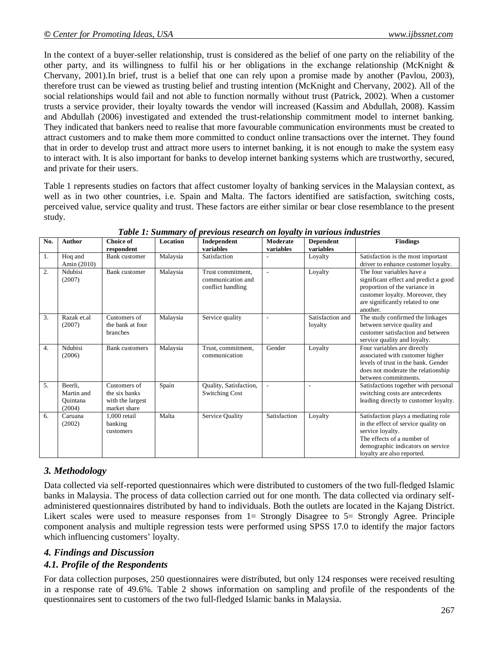In the context of a buyer-seller relationship, trust is considered as the belief of one party on the reliability of the other party, and its willingness to fulfil his or her obligations in the exchange relationship (McKnight  $\&$ Chervany, 2001).In brief, trust is a belief that one can rely upon a promise made by another (Pavlou, 2003), therefore trust can be viewed as trusting belief and trusting intention (McKnight and Chervany, 2002). All of the social relationships would fail and not able to function normally without trust (Patrick, 2002). When a customer trusts a service provider, their loyalty towards the vendor will increased (Kassim and Abdullah, 2008). Kassim and Abdullah (2006) investigated and extended the trust-relationship commitment model to internet banking. They indicated that bankers need to realise that more favourable communication environments must be created to attract customers and to make them more committed to conduct online transactions over the internet. They found that in order to develop trust and attract more users to internet banking, it is not enough to make the system easy to interact with. It is also important for banks to develop internet banking systems which are trustworthy, secured, and private for their users.

Table 1 represents studies on factors that affect customer loyalty of banking services in the Malaysian context, as well as in two other countries, i.e. Spain and Malta. The factors identified are satisfaction, switching costs, perceived value, service quality and trust. These factors are either similar or bear close resemblance to the present study.

| No.              | Author                                      | <b>Choice of</b><br>respondent                                    | Location | Independent<br>variables                                    | Moderate<br>variables    | <b>Dependent</b><br>variables | <b>Findings</b>                                                                                                                                                                                 |
|------------------|---------------------------------------------|-------------------------------------------------------------------|----------|-------------------------------------------------------------|--------------------------|-------------------------------|-------------------------------------------------------------------------------------------------------------------------------------------------------------------------------------------------|
| 1.               | Hoq and<br>Amin (2010)                      | <b>Bank</b> customer                                              | Malaysia | Satisfaction                                                |                          | Loyalty                       | Satisfaction is the most important<br>driver to enhance customer loyalty.                                                                                                                       |
| $\overline{2}$ . | Ndubisi<br>(2007)                           | Bank customer                                                     | Malaysia | Trust commitment,<br>communication and<br>conflict handling | $\overline{a}$           | Loyalty                       | The four variables have a<br>significant effect and predict a good<br>proportion of the variance in<br>customer loyalty. Moreover, they<br>are significantly related to one<br>another.         |
| 3.               | Razak et.al<br>(2007)                       | Customers of<br>the bank at four<br>branches                      | Malaysia | Service quality                                             | $\overline{\phantom{a}}$ | Satisfaction and<br>loyalty   | The study confirmed the linkages<br>between service quality and<br>customer satisfaction and between<br>service quality and loyalty.                                                            |
| 4.               | Ndubisi<br>(2006)                           | <b>Bank</b> customers                                             | Malaysia | Trust, commitment,<br>communication                         | Gender                   | Loyalty                       | Four variables are directly<br>associated with customer higher<br>levels of trust in the bank. Gender<br>does not moderate the relationship<br>between commitments.                             |
| 5.               | Beerli.<br>Martin and<br>Ouintana<br>(2004) | Customers of<br>the six banks<br>with the largest<br>market share | Spain    | Quality, Satisfaction,<br><b>Switching Cost</b>             | $\overline{a}$           | J.                            | Satisfactions together with personal<br>switching costs are antecedents<br>leading directly to customer loyalty.                                                                                |
| 6.               | Caruana<br>(2002)                           | 1,000 retail<br>banking<br>customers                              | Malta    | Service Quality                                             | Satisfaction             | Loyalty                       | Satisfaction plays a mediating role<br>in the effect of service quality on<br>service loyalty.<br>The effects of a number of<br>demographic indicators on service<br>loyalty are also reported. |

*Table 1: Summary of previous research on loyalty in various industries*

# *3. Methodology*

Data collected via self-reported questionnaires which were distributed to customers of the two full-fledged Islamic banks in Malaysia. The process of data collection carried out for one month. The data collected via ordinary selfadministered questionnaires distributed by hand to individuals. Both the outlets are located in the Kajang District. Likert scales were used to measure responses from 1= Strongly Disagree to 5= Strongly Agree. Principle component analysis and multiple regression tests were performed using SPSS 17.0 to identify the major factors which influencing customers' loyalty.

# *4. Findings and Discussion 4.1. Profile of the Respondents*

For data collection purposes, 250 questionnaires were distributed, but only 124 responses were received resulting in a response rate of 49.6%. Table 2 shows information on sampling and profile of the respondents of the questionnaires sent to customers of the two full-fledged Islamic banks in Malaysia.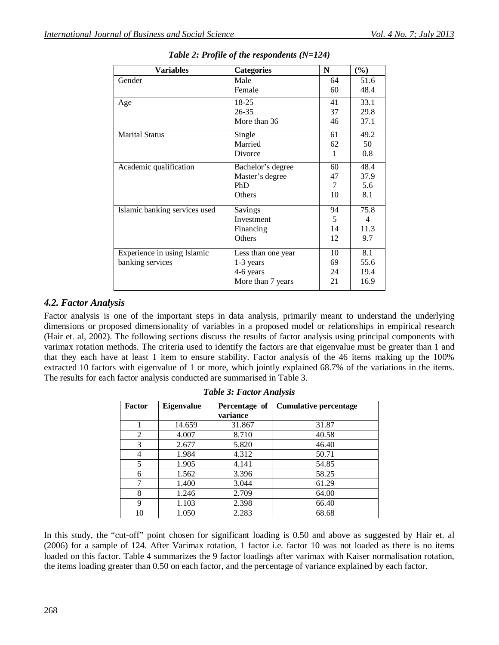| <b>Variables</b>              | <b>Categories</b>  | N  | $(\%)$         |
|-------------------------------|--------------------|----|----------------|
| Gender                        | Male               | 64 | 51.6           |
|                               | Female             | 60 | 48.4           |
| Age                           | 18-25              | 41 | 33.1           |
|                               | $26 - 35$          | 37 | 29.8           |
|                               | More than 36       | 46 | 37.1           |
| <b>Marital Status</b>         | Single             | 61 | 49.2           |
|                               | Married            | 62 | 50             |
|                               | Divorce            | 1  | 0.8            |
| Academic qualification        | Bachelor's degree  | 60 | 48.4           |
|                               | Master's degree    | 47 | 37.9           |
|                               | PhD                | 7  | 5.6            |
|                               | Others             | 10 | 8.1            |
| Islamic banking services used | Savings            | 94 | 75.8           |
|                               | Investment         | 5  | $\overline{4}$ |
|                               | Financing          | 14 | 11.3           |
|                               | Others             | 12 | 9.7            |
| Experience in using Islamic   | Less than one year | 10 | 8.1            |
| banking services              | 1-3 years          | 69 | 55.6           |
|                               | 4-6 years          | 24 | 19.4           |
|                               | More than 7 years  | 21 | 16.9           |

*Table 2: Profile of the respondents (N=124)*

### *4.2. Factor Analysis*

Factor analysis is one of the important steps in data analysis, primarily meant to understand the underlying dimensions or proposed dimensionality of variables in a proposed model or relationships in empirical research (Hair et. al, 2002). The following sections discuss the results of factor analysis using principal components with varimax rotation methods. The criteria used to identify the factors are that eigenvalue must be greater than 1 and that they each have at least 1 item to ensure stability. Factor analysis of the 46 items making up the 100% extracted 10 factors with eigenvalue of 1 or more, which jointly explained 68.7% of the variations in the items. The results for each factor analysis conducted are summarised in Table 3.

| Factor | <b>Eigenvalue</b> | Percentage of<br>variance | <b>Cumulative percentage</b> |
|--------|-------------------|---------------------------|------------------------------|
|        | 14.659            | 31.867                    | 31.87                        |
| 2      | 4.007             | 8.710                     | 40.58                        |
| 3      | 2.677             | 5.820                     | 46.40                        |
| 4      | 1.984             | 4.312                     | 50.71                        |
| 5      | 1.905             | 4.141                     | 54.85                        |
| 6      | 1.562             | 3.396                     | 58.25                        |
| 7      | 1.400             | 3.044                     | 61.29                        |
| 8      | 1.246             | 2.709                     | 64.00                        |
| 9      | 1.103             | 2.398                     | 66.40                        |
| 10     | 1.050             | 2.283                     | 68.68                        |

|  |  |  | <b>Table 3: Factor Analysis</b> |  |  |
|--|--|--|---------------------------------|--|--|
|--|--|--|---------------------------------|--|--|

In this study, the "cut-off" point chosen for significant loading is 0.50 and above as suggested by Hair et. al (2006) for a sample of 124. After Varimax rotation, 1 factor i.e. factor 10 was not loaded as there is no items loaded on this factor. Table 4 summarizes the 9 factor loadings after varimax with Kaiser normalisation rotation, the items loading greater than 0.50 on each factor, and the percentage of variance explained by each factor.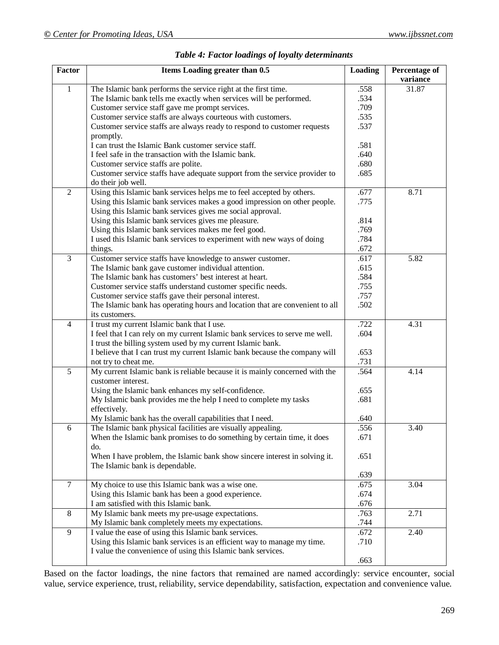| <b>Factor</b>  | Items Loading greater than 0.5                                               | Loading | <b>Percentage of</b> |
|----------------|------------------------------------------------------------------------------|---------|----------------------|
|                |                                                                              |         | variance             |
| $\mathbf{1}$   | The Islamic bank performs the service right at the first time.               | .558    | 31.87                |
|                | The Islamic bank tells me exactly when services will be performed.           | .534    |                      |
|                | Customer service staff gave me prompt services.                              | .709    |                      |
|                | Customer service staffs are always courteous with customers.                 | .535    |                      |
|                | Customer service staffs are always ready to respond to customer requests     | .537    |                      |
|                | promptly.                                                                    |         |                      |
|                | I can trust the Islamic Bank customer service staff.                         | .581    |                      |
|                | I feel safe in the transaction with the Islamic bank.                        | .640    |                      |
|                | Customer service staffs are polite.                                          | .680    |                      |
|                | Customer service staffs have adequate support from the service provider to   | .685    |                      |
|                | do their job well.                                                           |         |                      |
| $\overline{2}$ | Using this Islamic bank services helps me to feel accepted by others.        | .677    | 8.71                 |
|                | Using this Islamic bank services makes a good impression on other people.    | .775    |                      |
|                | Using this Islamic bank services gives me social approval.                   |         |                      |
|                | Using this Islamic bank services gives me pleasure.                          | .814    |                      |
|                | Using this Islamic bank services makes me feel good.                         | .769    |                      |
|                | I used this Islamic bank services to experiment with new ways of doing       | .784    |                      |
|                | things.                                                                      | .672    |                      |
| $\overline{3}$ | Customer service staffs have knowledge to answer customer.                   | .617    | 5.82                 |
|                | The Islamic bank gave customer individual attention.                         | .615    |                      |
|                | The Islamic bank has customers' best interest at heart.                      | .584    |                      |
|                | Customer service staffs understand customer specific needs.                  | .755    |                      |
|                | Customer service staffs gave their personal interest.                        | .757    |                      |
|                | The Islamic bank has operating hours and location that are convenient to all | .502    |                      |
|                | its customers.                                                               |         |                      |
| $\overline{4}$ | I trust my current Islamic bank that I use.                                  | .722    | 4.31                 |
|                | I feel that I can rely on my current Islamic bank services to serve me well. | .604    |                      |
|                | I trust the billing system used by my current Islamic bank.                  |         |                      |
|                | I believe that I can trust my current Islamic bank because the company will  | .653    |                      |
|                | not try to cheat me.                                                         | .731    |                      |
| 5              | My current Islamic bank is reliable because it is mainly concerned with the  | .564    | 4.14                 |
|                | customer interest.                                                           |         |                      |
|                | Using the Islamic bank enhances my self-confidence.                          | .655    |                      |
|                | My Islamic bank provides me the help I need to complete my tasks             | .681    |                      |
|                | effectively.                                                                 |         |                      |
|                | My Islamic bank has the overall capabilities that I need.                    | .640    |                      |
| 6              | The Islamic bank physical facilities are visually appealing.                 | .556    | 3.40                 |
|                | When the Islamic bank promises to do something by certain time, it does      | .671    |                      |
|                | do.                                                                          |         |                      |
|                | When I have problem, the Islamic bank show sincere interest in solving it.   | .651    |                      |
|                | The Islamic bank is dependable.                                              |         |                      |
|                |                                                                              | .639    |                      |
| $\overline{7}$ | My choice to use this Islamic bank was a wise one.                           | .675    | 3.04                 |
|                | Using this Islamic bank has been a good experience.                          | .674    |                      |
|                | I am satisfied with this Islamic bank.                                       | .676    |                      |
| 8              | My Islamic bank meets my pre-usage expectations.                             | .763    | 2.71                 |
|                | My Islamic bank completely meets my expectations.                            | .744    |                      |
| 9              | I value the ease of using this Islamic bank services.                        | .672    | 2.40                 |
|                | Using this Islamic bank services is an efficient way to manage my time.      | .710    |                      |
|                | I value the convenience of using this Islamic bank services.                 |         |                      |
|                |                                                                              | .663    |                      |

|  |  |  |  |  | Table 4: Factor loadings of loyalty determinants |
|--|--|--|--|--|--------------------------------------------------|
|--|--|--|--|--|--------------------------------------------------|

Based on the factor loadings, the nine factors that remained are named accordingly: service encounter, social value, service experience, trust, reliability, service dependability, satisfaction, expectation and convenience value.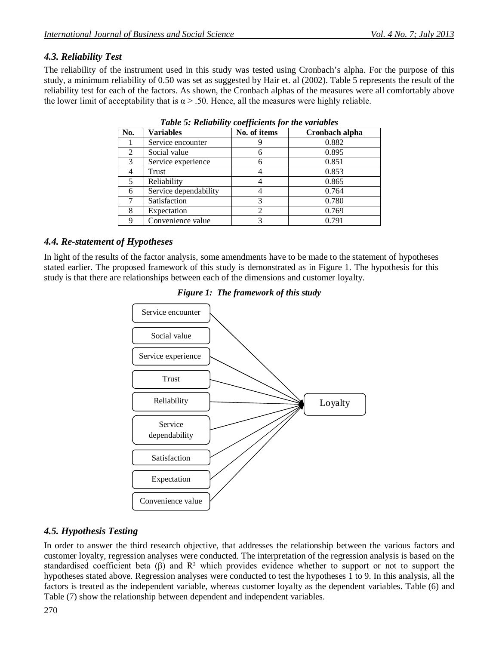# *4.3. Reliability Test*

The reliability of the instrument used in this study was tested using Cronbach's alpha. For the purpose of this study, a minimum reliability of 0.50 was set as suggested by Hair et. al (2002). Table 5 represents the result of the reliability test for each of the factors. As shown, the Cronbach alphas of the measures were all comfortably above the lower limit of acceptability that is  $\alpha$  > .50. Hence, all the measures were highly reliable.

| No. | <b>Variables</b>      | No. of items | Cronbach alpha |
|-----|-----------------------|--------------|----------------|
|     | Service encounter     |              | 0.882          |
| 2   | Social value          | 6            | 0.895          |
| 3   | Service experience    | 6            | 0.851          |
|     | Trust                 |              | 0.853          |
| 5   | Reliability           |              | 0.865          |
| 6   | Service dependability |              | 0.764          |
|     | Satisfaction          | 3            | 0.780          |
| 8   | Expectation           | 2            | 0.769          |
| 9   | Convenience value     | 3            | 0.791          |

*Table 5: Reliability coefficients for the variables* 

# *4.4. Re-statement of Hypotheses*

In light of the results of the factor analysis, some amendments have to be made to the statement of hypotheses stated earlier. The proposed framework of this study is demonstrated as in Figure 1. The hypothesis for this study is that there are relationships between each of the dimensions and customer loyalty.



*Figure 1: The framework of this study*

# *4.5. Hypothesis Testing*

In order to answer the third research objective, that addresses the relationship between the various factors and customer loyalty, regression analyses were conducted. The interpretation of the regression analysis is based on the standardised coefficient beta (β) and R² which provides evidence whether to support or not to support the hypotheses stated above. Regression analyses were conducted to test the hypotheses 1 to 9. In this analysis, all the factors is treated as the independent variable, whereas customer loyalty as the dependent variables. Table (6) and Table (7) show the relationship between dependent and independent variables.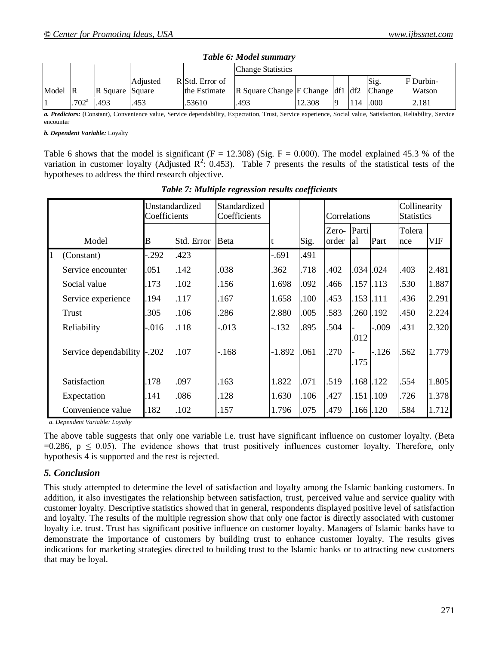|       |                     |                 |          |                                | <b>Change Statistics</b>                                         |        |    |     |                       |                    |
|-------|---------------------|-----------------|----------|--------------------------------|------------------------------------------------------------------|--------|----|-----|-----------------------|--------------------|
| Model | $\overline{R}$      | R Square Square | Adjusted | RStd. Error of<br>the Estimate | $\vert$ R Square Change $\vert$ F Change $\vert$ df1 $\vert$ df2 |        |    |     | Sig.<br><b>Change</b> | FDurbin-<br>Watson |
|       | $.702$ <sup>a</sup> | .493            | .453     | .53610                         | .493                                                             | 12.308 | lQ | 114 | .000.                 | 2.181              |

| Table 6: Model summary |
|------------------------|
|                        |

*a. Predictors:* (Constant), Convenience value, Service dependability, Expectation, Trust, Service experience, Social value, Satisfaction, Reliability, Service encounter

*b. Dependent Variable:* Loyalty

Table 6 shows that the model is significant ( $F = 12.308$ ) (Sig.  $F = 0.000$ ). The model explained 45.3 % of the variation in customer loyalty (Adjusted  $\mathbb{R}^2$ : 0.453). Table 7 presents the results of the statistical tests of the hypotheses to address the third research objective.

|   |                       | Unstandardized<br>Coefficients |            | Standardized<br>Coefficients |          |      | Correlations   |             |               | Collinearity<br><b>Statistics</b> |            |
|---|-----------------------|--------------------------------|------------|------------------------------|----------|------|----------------|-------------|---------------|-----------------------------------|------------|
|   | Model                 | B                              | Std. Error | Beta                         |          | Sig. | Zero-<br>order | Parti<br>al | Part          | Tolera<br>nce                     | <b>VIF</b> |
| 1 | (Constant)            | .292                           | 423        |                              | $-.691$  | .491 |                |             |               |                                   |            |
|   | Service encounter     | .051                           | .142       | .038                         | .362     | .718 | .402           |             | .034 .024     | .403                              | 2.481      |
|   | Social value          | 173                            | .102       | .156                         | 1.698    | .092 | .466           |             | $.157$ $.113$ | .530                              | 1.887      |
|   | Service experience    | 194                            | .117       | .167                         | 1.658    | .100 | .453           |             | .153 .111     | .436                              | 2.291      |
|   | Trust                 | 305                            | .106       | .286                         | 2.880    | .005 | 583            |             | 260.192       | .450                              | 2.224      |
|   | Reliability           | .016                           | .118       | $-0.013$                     | $-132$   | .895 | 504            | .012        | $-.009$       | .431                              | 2.320      |
|   | Service dependability | $-202$                         | .107       | -.168                        | $-1.892$ | .061 | .270           | .175        | $-126$        | 562                               | 1.779      |
|   | Satisfaction          | 178                            | .097       | .163                         | 1.822    | .071 | .519           |             | 168.122       | .554                              | 1.805      |
|   | Expectation           | 141                            | .086       | .128                         | 1.630    | .106 | .427           |             | .151 .109     | .726                              | 1.378      |
|   | Convenience value     | 182                            | .102       | .157                         | 1.796    | .075 | .479           |             | 166.120       | .584                              | 1.712      |

*Table 7: Multiple regression results coefficients*

*a. Dependent Variable: Loyalty*

The above table suggests that only one variable i.e. trust have significant influence on customer loyalty. (Beta =0.286,  $p \le 0.05$ ). The evidence shows that trust positively influences customer loyalty. Therefore, only hypothesis 4 is supported and the rest is rejected.

### *5. Conclusion*

This study attempted to determine the level of satisfaction and loyalty among the Islamic banking customers. In addition, it also investigates the relationship between satisfaction, trust, perceived value and service quality with customer loyalty. Descriptive statistics showed that in general, respondents displayed positive level of satisfaction and loyalty. The results of the multiple regression show that only one factor is directly associated with customer loyalty i.e. trust. Trust has significant positive influence on customer loyalty. Managers of Islamic banks have to demonstrate the importance of customers by building trust to enhance customer loyalty. The results gives indications for marketing strategies directed to building trust to the Islamic banks or to attracting new customers that may be loyal.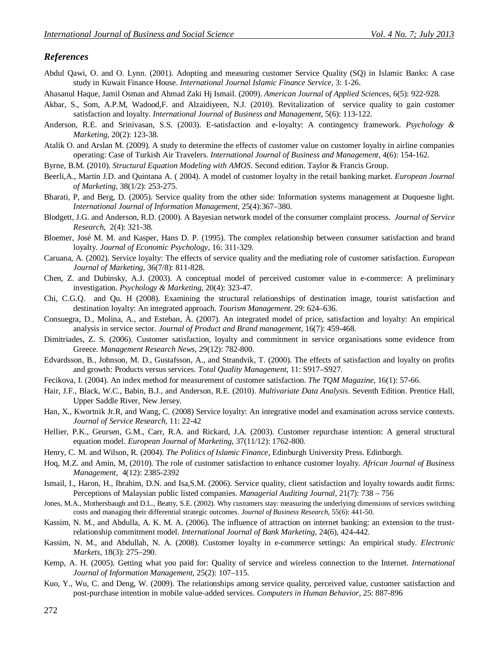#### *References*

- Abdul Qawi, O. and O. Lynn. (2001). Adopting and measuring customer Service Quality (SQ) in Islamic Banks: A case study in Kuwait Finance House. *International Journal Islamic Finance Service*, 3: 1-26.
- Ahasanul Haque, Jamil Osman and Ahmad Zaki Hj Ismail. (2009). *American Journal of Applied Sciences*, 6(5): 922-928.
- Akbar, S., Som, A.P.M, Wadood,F. and Alzaidiyeen, N.J. (2010). Revitalization of service quality to gain customer satisfaction and loyalty. *International Journal of Business and Management*, 5(6): 113-122.
- Anderson, R.E. and Srinivasan, S.S. (2003). E-satisfaction and e-loyalty: A contingency framework. *Psychology & Marketing*, 20(2): 123-38.
- Atalik O. and Arslan M. (2009). A study to determine the effects of customer value on customer loyalty in airline companies operating: Case of Turkish Air Travelers. *International Journal of Business and Management*, 4(6): 154-162.
- Byrne, B.M. (2010). *Structural Equation Modeling with AMOS*. Second edition. Taylor & Francis Group.
- Beerli,A., Martin J.D. and Quintana A. ( 2004). A model of customer loyalty in the retail banking market. *European Journal of Marketing,* 38(1/2): 253-275.
- Bharati, P, and Berg, D. (2005). Service quality from the other side: Information systems management at Duquesne light. *International Journal of Information Management*, 25(4):367–380.
- Blodgett, J.G. and Anderson, R.D. (2000). A Bayesian network model of the consumer complaint process. *Journal of Service Research*, 2(4): 321-38.
- Bloemer, José M. M. and Kasper, Hans D. P. (1995). The complex relationship between consumer satisfaction and brand loyalty. *Journal of Economic Psychology*, 16: 311-329.
- Caruana, A. (2002). Service loyalty: The effects of service quality and the mediating role of customer satisfaction. *European Journal of Marketing,* 36(7/8): 811-828.
- Chen, Z. and Dubinsky, A.J. (2003). A conceptual model of perceived customer value in e-commerce: A preliminary investigation. *Psychology & Marketing*, 20(4): 323-47.
- Chi, C.G.Q. and Qu. H (2008). Examining the structural relationships of destination image, tourist satisfaction and destination loyalty: An integrated approach. *Tourism Management*. 29: 624–636.
- Consuegra, D., Molina, A., and Esteban, À. (2007). An integrated model of price, satisfaction and loyalty: An empirical analysis in service sector. *Journal of Product and Brand management*, 16(7): 459-468.
- Dimitriades, Z. S. (2006). Customer satisfaction, loyalty and commitment in service organisations some evidence from Greece. *Management Research News*, 29(12): 782-800.
- Edvardsson, B., Johnson, M. D., Gustafsson, A., and Strandvik, T. (2000). The effects of satisfaction and loyalty on profits and growth: Products versus services. *Total Quality Management*, 11: S917–S927.
- Fecikova, I. (2004). An index method for measurement of customer satisfaction. *The TQM Magazine*, 16(1): 57-66.
- Hair, J.F., Black, W.C., Babin, B.J., and Anderson, R.E. (2010). *Multivariate Data Analysis*. Seventh Edition. Prentice Hall, Upper Saddle River, New Jersey.
- Han, X., Kwortnik Jr.R, and Wang, C. (2008) Service loyalty: An integrative model and examination across service contexts. *Journal of Service Research,* 11: 22-42
- Hellier, P.K., Geursen, G.M., Carr, R.A. and Rickard, J.A. (2003). Customer repurchase intention: A general structural equation model. *European Journal of Marketing*, 37(11/12): 1762-800.
- Henry, C. M. and Wilson, R. (2004). *The Politics of Islamic Finance*, Edinburgh University Press. Edinburgh.
- Hoq, M.Z. and Amin, M, (2010). The role of customer satisfaction to enhance customer loyalty. *African Journal of Business Management,* 4(12): 2385-2392
- Ismail, I., Haron, H., Ibrahim, D.N. and Isa,S.M. (2006). Service quality, client satisfaction and loyalty towards audit firms: Perceptions of Malaysian public listed companies. *Managerial Auditing Journal,* 21(7): 738 – 756
- Jones, M.A., Mothersbaugh and D.L., Beatty, S.E. (2002). Why customers stay: measuring the underlying dimensions of services switching costs and managing their differential strategic outcomes. *Journal of Business Research*, 55(6): 441-50.
- Kassim, N. M., and Abdulla, A. K. M. A. (2006). The influence of attraction on internet banking: an extension to the trustrelationship commitment model. *International Journal of Bank Marketing*, 24(6), 424-442.
- Kassim, N. M., and Abdullah, N. A. (2008). Customer loyalty in e-commerce settings: An empirical study. *Electronic Markets*, 18(3): 275–290.
- Kemp, A. H. (2005). Getting what you paid for: Quality of service and wireless connection to the Internet. *International Journal of Information Management*, 25(2): 107–115.
- Kuo, Y., Wu, C. and Deng, W. (2009). The relationships among service quality, perceived value, customer satisfaction and post-purchase intention in mobile value-added services. *Computers in Human Behavior*, 25: 887-896